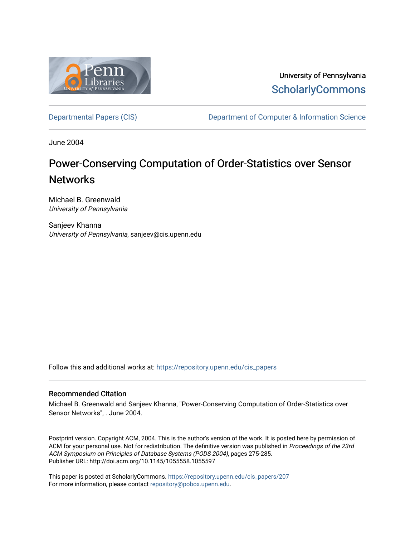

University of Pennsylvania **ScholarlyCommons** 

[Departmental Papers \(CIS\)](https://repository.upenn.edu/cis_papers) Department of Computer & Information Science

June 2004

# Power-Conserving Computation of Order-Statistics over Sensor **Networks**

Michael B. Greenwald University of Pennsylvania

Sanjeev Khanna University of Pennsylvania, sanjeev@cis.upenn.edu

Follow this and additional works at: [https://repository.upenn.edu/cis\\_papers](https://repository.upenn.edu/cis_papers?utm_source=repository.upenn.edu%2Fcis_papers%2F207&utm_medium=PDF&utm_campaign=PDFCoverPages)

### Recommended Citation

Michael B. Greenwald and Sanjeev Khanna, "Power-Conserving Computation of Order-Statistics over Sensor Networks", . June 2004.

Postprint version. Copyright ACM, 2004. This is the author's version of the work. It is posted here by permission of ACM for your personal use. Not for redistribution. The definitive version was published in Proceedings of the 23rd ACM Symposium on Principles of Database Systems (PODS 2004), pages 275-285. Publisher URL: http://doi.acm.org/10.1145/1055558.1055597

This paper is posted at ScholarlyCommons. [https://repository.upenn.edu/cis\\_papers/207](https://repository.upenn.edu/cis_papers/207)  For more information, please contact [repository@pobox.upenn.edu.](mailto:repository@pobox.upenn.edu)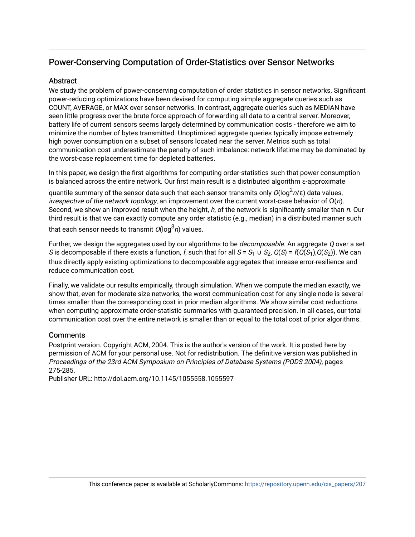# Power-Conserving Computation of Order-Statistics over Sensor Networks

# Abstract

We study the problem of power-conserving computation of order statistics in sensor networks. Significant power-reducing optimizations have been devised for computing simple aggregate queries such as COUNT, AVERAGE, or MAX over sensor networks. In contrast, aggregate queries such as MEDIAN have seen little progress over the brute force approach of forwarding all data to a central server. Moreover, battery life of current sensors seems largely determined by communication costs - therefore we aim to minimize the number of bytes transmitted. Unoptimized aggregate queries typically impose extremely high power consumption on a subset of sensors located near the server. Metrics such as total communication cost underestimate the penalty of such imbalance: network lifetime may be dominated by the worst-case replacement time for depleted batteries.

In this paper, we design the first algorithms for computing order-statistics such that power consumption is balanced across the entire network. Our first main result is a distributed algorithm ε-approximate

quantile summary of the sensor data such that each sensor transmits only  $O(\log^2\! n/\varepsilon)$  data values, irrespective of the network topology, an improvement over the current worst-case behavior of  $\Omega(n)$ . Second, we show an improved result when the height, h, of the network is significantly smaller than n. Our third result is that we can exactly compute any order statistic (e.g., median) in a distributed manner such that each sensor needs to transmit  $O(\log^3 n)$  values.

Further, we design the aggregates used by our algorithms to be *decomposable*. An aggregate Q over a set S is decomposable if there exists a function, f, such that for all  $S = S_1 \cup S_2$ ,  $Q(S) = f(Q(S_1), Q(S_2))$ . We can thus directly apply existing optimizations to decomposable aggregates that inrease error-resilience and reduce communication cost.

Finally, we validate our results empirically, through simulation. When we compute the median exactly, we show that, even for moderate size networks, the worst communication cost for any single node is several times smaller than the corresponding cost in prior median algorithms. We show similar cost reductions when computing approximate order-statistic summaries with guaranteed precision. In all cases, our total communication cost over the entire network is smaller than or equal to the total cost of prior algorithms.

# **Comments**

Postprint version. Copyright ACM, 2004. This is the author's version of the work. It is posted here by permission of ACM for your personal use. Not for redistribution. The definitive version was published in Proceedings of the 23rd ACM Symposium on Principles of Database Systems (PODS 2004), pages 275-285.

Publisher URL: http://doi.acm.org/10.1145/1055558.1055597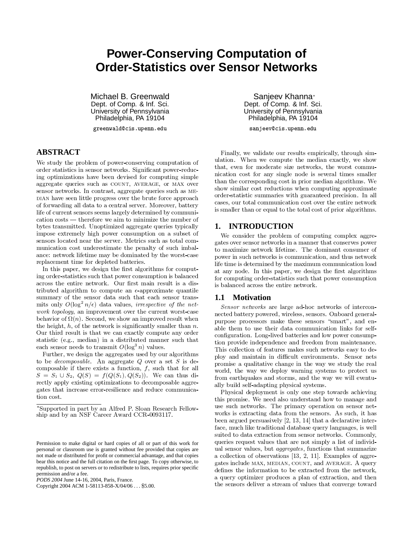# **Power-Conserving Computation of Order-Statistics over Sensor Networks**

Michael B. Greenwald Dept. of Comp. & Inf. Sci. University of Pennsylvania Philadelphia, PA 19104

greenwald@cis.upenn.edu

# **ABSTRACT**

We study the problem of power-conserving computation of order statistics in sensor networks. Significant power-reducing optimizations have been devised for computing simple aggregate queries such as COUNT, AVERAGE, or MAX over sensor networks. In contrast, aggregate queries such as ME-DIAN have seen little progress over the brute force approach of forwarding all data to a central server. Moreover, battery life of current sensors seems largely determined by communi- $\alpha$  cation  $\cos t s$  — therefore we aim to minimize the number of bytes transmitted. Unoptimized aggregate queries typically impose extremely high power consumption on a subset of sensors located near the server. Metrics such as total communication cost underestimate the penalty of such imbalance: network lifetime may be dominated by the worst-case replacement time for depleted batteries.

In this paper, we design the first algorithms for computing order-statistics such that power consumption is balanced across the entire network. Our first main result is a distributed algorithm to compute an  $\epsilon$ -approximate quantile summary of the sensor data such that each sensor transmits only  $O(\log^2 n/\epsilon)$  data values, *irrespective of the network topology*, an improvement over the current worst-case behavior of  $\Omega(n)$ . Second, we show an improved result when the height,  $h$ , of the network is significantly smaller than  $n$ . Our third result is that we can exactly compute any order statistic (e.g., median) in a distributed manner such that each sensor needs to transmit  $O(\log^3 n)$  values.

Further, we design the aggregates used by our algorithms to be *decomposable*. An aggregate  $Q$  over a set  $S$  is decomposable if there exists a function,  $f$ , such that for all  $S = S_1 \cup S_2$ ,  $Q(S) = f(Q(S_1), Q(S_2))$ . We can thus directly apply existing optimizations to decomposable aggregates that increase error-resilience and reduce communication cost.

Copyright 2004 ACM 1-58113-858-X/04/06 . . . \$5.00.

Sanieev Khanna\* Dept. of Comp. & Inf. Sci. University of Pennsylvania Philadelphia, PA 19104

sanjeev@cis.upenn.edu

Finally, we validate our results empirically, through simulation. When we compute the median exactly, we show that, even for moderate size networks, the worst communication cost for any single node is several times smaller than the corresponding cost in prior median algorithms. We show similar cost reductions when computing approximate order-statistic summaries with guaranteed precision. In all cases, our total communication cost over the entire network is smaller than or equal to the total cost of prior algorithms.

### 1. INTRODUCTION

We consider the problem of computing complex aggregates over sensor networks in a manner that conserves power to maximize network lifetime. The dominant consumer of power in such networks is communication, and thus network life time is determined by the maximum communication load at any node. In this paper, we design the first algorithms for computing order-statistics such that power consumption is balanced across the entire network.

### 1.1 Motivation

Sensor networks are large ad-hoc networks of interconnected battery powered, wireless, sensors. Onboard generalpurpose processors make these sensors "smart", and enable them to use their data communication links for selfconfiguration. Long-lived batteries and low power consumption provide independence and freedom from maintenance. This collection of features makes such networks easy to deploy and maintain in difficult environments. Sensor nets promise a qualitative change in the way we study the real world, the way we deploy warning systems to protect us from earthquakes and storms, and the way we will eventually build self-adapting physical systems.

Physical deployment is only one step towards achieving this promise. We need also understand how to manage and use such networks. The primary operation on sensor networks is extracting data from the sensors. As such, it has been argued persuasively  $[2, 13, 14]$  that a declarative interface, much like traditional database query languages, is well suited to data extraction from sensor networks. Commonly, queries request values that are not simply a list of individual sensor values, but *aggregates*, functions that summarize a collection of observations  $[13, 2, 11]$ . Examples of aggregates include MAX, MEDIAN, COUNT, and AVERAGE. A query defines the information to be extracted from the network, a query optimizer produces a plan of extraction, and then the sensors deliver a stream of values that converge toward

<sup>\*</sup>Supported in part by an Alfred P. Sloan Research Fellowship and by an NSF Career Award CCR-0093117.

Permission to make digital or hard copies of all or part of this work for personal or classroom use is granted without fee provided that copies are not made or distributed for profit or commercial advantage, and that copies bear this notice and the full citation on the first page. To copy otherwise, to republish, to post on servers or to redistribute to lists, requires prior specific permission and/or a fee.

PODS 2004 June 14-16, 2004, Paris, France.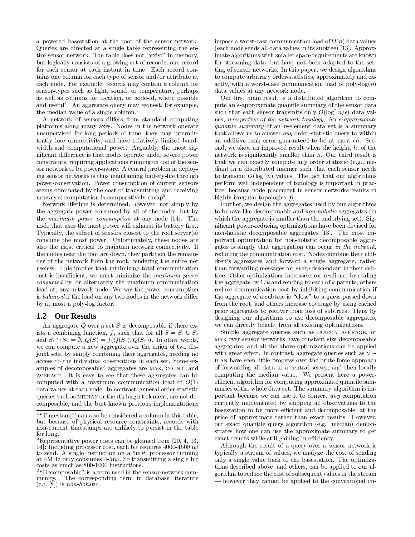a powered basestation at the root of the sensor network. Queries are directed at a single table representing the entire sensor network. The table does not "exist" in memory, but logically consists of a growing set of records, one record for each sensor at each instant in time. Each record contains one column for each type of sensor and/or attribute at each node. For example, records may contain a column for sensor-types such as light, sound, or temperature, perhaps as well as columns for location, or node-id, where possible and useful<sup>1</sup>. An aggregate query may request, for example, the median value of a single column.

A network of sensors differs from standard computing platforms along many axes. Nodes in the network operate unsupervised for long periods of time, they may intermittently lose connectivity, and have relatively limited bandwidth and computational power. Arguably, the most significant difference is that nodes operate under severe power constraints, requiring applications running on top of the sensor network to be power-aware. A central problem in deploying sensor networks is thus maintaining battery-life through power-conservation. Power consumption of current sensors seems dominated by the cost of transmitting and receiving messages; computation is comparatively cheap<sup>2</sup>.

Network lifetime is determined, however, not simply by the aggregate power consumed by all of the nodes, but by the maximum power consumption at any node [14]. The node that uses the most power will exhaust its battery first. Typically, the subset of sensors closest to the root server(s) consume the most power. Unfortunately, these nodes are also the most critical to maintain network connectivity. If the nodes near the root are down, they partition the remainder of the network from the root, rendering the entire net useless. This implies that minimizing total communication cost is insufficient; we must minimize the maximum power consumed by, or alternately the maximum communication load at, any network node. We say the power consumption is *balanced* if the load on any two nodes in the network differ by at most a poly-log factor.

#### **Our Results**  $1.2$

An aggregate Q over a set S is decomposable if there exists a combining function, f, such that for all  $S = S_1 \cup S_2$ and  $S_1 \cap S_2 = \emptyset$ ,  $Q(S) = f(Q(S_1), Q(S_2))$ . In other words, we can compute a new aggregate over the union of two disjoint sets, by simply combining their aggregates, needing no access to the individual observations in each set. Some examples of decomposable<sup>3</sup> aggregates are MAX, COUNT, and AVERAGE. It is easy to see that these aggregates can be computed with a maximum communication load of  $O(1)$ data values at each node. In contrast, general order statistic queries such as MEDIAN or the *i*th largest element, are not decomposable, and the best known previous implementations

impose a worst-case communication load of  $\Omega(n)$  data values (each node sends all data values in its subtree) [13]. Approximate algorithms with smaller space requirements are known for streaming data, but have not been adapted to the setting of sensor networks. In this paper, we design algorithms to compute arbitrary order-statistics, approximately and exactly, with a worst-case communication load of poly- $log(n)$ data values at any network node.

Our first main result is a distributed algorithm to compute an  $\epsilon$ -approximate quantile summary of the sensor data such that each sensor transmits only  $O(\log^2 n/\epsilon)$  data values, *irrespective* of the network topology. An  $\epsilon$ -approximate *quantile summary* of an *n*-element data set is a summary that allows us to answer *any* order-statistic query to within an additive rank error guaranteed to be at most  $\epsilon n$ . Second, we show an improved result when the height,  $h$ , of the network is significantly smaller than  $n$ . Our third result is that we can exactly compute any order statistic (e.g., median) in a distributed manner such that each sensor needs to transmit  $O(\log^3 n)$  values. The fact that our algorithms perform well independent of topology is important in practice, because node placement in sensor networks results in highly irregular topologies [6].

Further, we design the aggregates used by our algorithms to behave like decomposable and *non-holistic* aggregates (in which the aggregate is smaller than the underlying set). Significant power-reducing optimizations have been devised for non-holistic decomposable aggregates [13]. The most important optimization for non-holistic decomposable aggregates is simply that aggregation can occur in the network, reducing the communication cost. Nodes combine their children's aggregates and forward a single aggregate, rather than forwarding messages for every descendant in their subtree. Other optimizations increase error-resilience by scaling the aggregate by  $1/k$  and sending to each of k parents, others reduce communication cost by inhibiting communication if the aggregate of a subtree is "close" to a guess passed down from the root, and others increase coverage by using cached prior aggregates to recover from loss of subtrees. Thus, by designing our algorithms to use decomposable aggregates, we can directly benefit from all existing optimizations.

Simple aggregate queries such as COUNT, AVERAGE, or MAX over sensor networks have constant size decomposable aggregates, and all the above optimizations can be applied with great effect. In contrast, aggregate queries such as ME-DIAN have seen little progress over the brute force approach of forwarding all data to a central server, and then locally computing the median value. We present here a powerefficient algorithm for computing approximate quantile summaries of the whole data set. The summary algorithm is important because we can use it to convert  $any$  computation currently implemented by shipping all observations to the basestation to be more efficient and decomposable, at the price of approximate rather than exact results. However, our exact quantile query algorithm (e.g. median) demonstrates how one can use the approximate summary to get exact results while still gaining in efficiency.

Although the result of a query over a sensor network is typically a stream of values, we analyze the cost of sending only a single value back to the basestation. The optimizations described above, and others, can be applied to our algorithm to reduce the cost of subsequent values in the stream - however they cannot be applied to the conventional im-

 $1\text{ }\text{``Timestamp''}$  can also be considered a column in this table, but because of physical resource constraints, records with non-current timestamps are unlikely to persist in the table for long.

<sup>&</sup>lt;sup>2</sup>Representative power costs can be gleaned from [20, 4, 13, 14. Including processor cost, each bit requires 4000-4500 nJ to send. A single instruction on a 5mW processor running at 4MHz only consumes 4-5nJ. So transmitting a single bit costs as much as 800-1000 instructions.

 $3$  "Decomposable" is a term used in the sensor-network com-The corresponding term in database literature munity.  $(c.f. |\δ|)$  is *non-holistic*.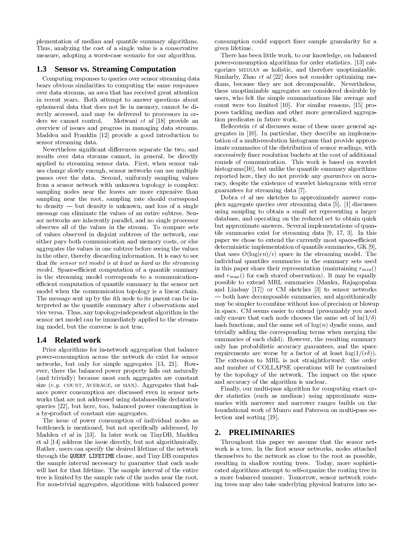plementation of median and quantile summary algorithms. Thus, analyzing the cost of a single value is a conservative measure, adopting a worst-case scenario for our algorithm.

#### **Sensor vs. Streaming Computation**  $1.3$

Computing responses to queries over sensor streaming data bears obvious similarities to computing the same responses over data streams, an area that has received great attention in recent years. Both attempt to answer questions about ephemeral data that does not lie in memory, cannot be directly accessed, and may be delivered to processors in orders we cannot control. Motwani et al [18] provide an overview of issues and progress in managing data streams. Madden and Franklin [12] provide a good introduction to sensor streaming data.

Nevertheless significant differences separate the two, and results over data streams cannot, in general, be directly applied to streaming sensor data. First, when sensor values change slowly enough, sensor networks can use multiple passes over the data. Second, uniformly sampling values from a sensor network with unknown topology is complex: sampling nodes near the leaves are more expensive than sampling near the root, sampling rate should correspond to density  $-$  but density is unknown, and loss of a single message can eliminate the values of an entire subtree. Sensor networks are inherently parallel, and no single processor observes all of the values in the stream. To compare sets of values observed in disjoint subtrees of the network, one either pays both communication and memory costs, or else aggregates the values in one subtree before seeing the values in the other, thereby discarding information. It is easy to see that the sensor net model is at least as hard as the streaming *model.* Space-efficient computation of a quantile summary in the streaming model corresponds to a communicationefficient computation of quantile summary in the sensor net model when the communication topology is a linear chain. The message sent up by the *i*th node to its parent can be interpreted as the quantile summary after  $i$  observations and vice versa. Thus, any topology-independent algorithm in the sensor net model can be immediately applied to the streaming model, but the converse is not true.

### $1.4$ **Related work**

Prior algorithms for in-network aggregation that balance power-consumption across the network do exist for sensor networks, but only for simple aggregates [13, 21]. However, there the balanced power property falls out naturally (and trivially) because most such aggregates are constant size  $(e.g. \text{COUNT}, \text{AVERAGE}, \text{or MAX})$ . Aggregates that balance power consumption are discussed even in sensor networks that are not addressed using database-like declarative queries [22], but here, too, balanced power consumption is a by-product of constant size aggregates.

The issue of power consumption of individual nodes as bottleneck is mentioned, but not specifically addressed, by Madden et al in [13]. In later work on TinyDB, Madden et al [14] address the issue directly, but not algorithmically. Rather, users can specify the desired lifetime of the network through the QUERY LIFETIME clause, and Tiny DB computes the sample interval necessary to guarantee that each node will last for that lifetime. The sample interval of the entire tree is limited by the sample rate of the nodes near the root. For non-trivial aggregates, algorithms with balanced power

consumption could support finer sample granularity for a given lifetime.

There has been little work, to our knowledge, on balanced power-consumption algorithms for order statistics. [13] categorizes MEDIAN as holistic, and therefore unoptimizable. Similarly, Zhao et al [22] does not consider optimizing medians, because they are not decomposable. Nevertheless, these unoptimizable aggregates are considered desirable by users, who felt the simple summarizations like average and count were too limited [10]. For similar reasons,  $[15]$  proposes tackling median and other more generalized aggregation predicates in future work.

Hellerstein  $et$   $al$  discusses some of these more general aggregates in [10]. In particular, they describe an implementation of a multi-resolution histograms that provide approximate summaries of the distribution of sensor readings, with successively finer resolution buckets at the cost of additional rounds of communication. This work is based on wavelet histograms [16], but unlike the quantile summary algorithms reported here, they do not provide any *guarantees* on accuracy, despite the existence of wavelet histograms with error guarantees for streaming data [7].

Dobra  $et$   $al$  use sketches to approximately answer complex aggregate queries over streaming data [5]. [1] discusses using sampling to obtain a small set representing a larger database, and operating on the reduced set to obtain quick but approximate answers. Several implementations of quantile summaries exist for streaming data [9, 17, 3]. In this paper we chose to extend the currently most space-efficient deterministic implementation of quantile summaries, GK [9], that uses  $O(\log(\epsilon n)/\epsilon)$  space in the streaming model. The individual quantiles summaries in the summary sets used in this paper share their representation (maintaining  $r_{min}()$ and  $r_{max}$  () for each stored observation). It may be equally possible to extend MRL summaries (Manku, Rajagopalan and Lindsay  $[17]$  or CM sketches  $[3]$  to sensor networks — both have decomposable summaries, and algorithmically may be simpler to combine without loss of precision or blowup in space. CM seems easier to extend (presumably you need only ensure that each node chooses the same set of  $\ln(1/\delta)$ hash functions, and the same set of  $log(n)$  dyadic sums, and trivially adding the corresponding terms when merging the summaries of each child). However, the resulting summary only has probabilistic accuracy guarantees, and the space requirements are worse by a factor of at least  $log(1/(\epsilon \delta))$ . The extension to MRL is not straightforward: the order and number of COLLAPSE operations will be constrained by the topology of the network. The impact on the space and accuracy of the algorithm is unclear.

Finally, our multi-pass algorithm for computing exact order statistics (such as medians) using approximate summaries with narrower and narrower ranges builds on the foundational work of Munro and Paterson on multi-pass selection and sorting [19].

### **PRELIMINARIES**  $2.$

Throughout this paper we assume that the sensor network is a tree. In the first sensor networks, nodes attached themselves to the network as close to the root as possible, resulting in shallow routing trees. Today, more sophisticated algorithms attempt to self-organize the routing tree in a more balanced manner. Tomorrow, sensor network routing trees may also take underlying physical features into ac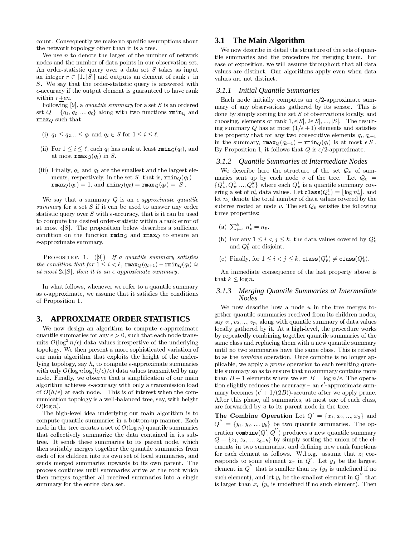count. Consequently we make no specific assumptions about the network topology other than it is a tree.

We use  $n$  to denote the larger of the number of network nodes and the number of data points in our observation set. An order-statistic query over a data set  $S$  takes as input an integer  $r \in [1..|S|]$  and outputs an element of rank r in S. We say that the order-statistic query is answered with  $\epsilon$ -accuracy if the output element is guaranteed to have rank within  $r+\epsilon n$ .

Following [9], a quantile summary for a set  $S$  is an ordered set  $Q = \{q_1, q_2, ..., q_\ell\}$  along with two functions rmin<sub>Q</sub> and  $\texttt{rmax}_Q$  such that

- (i)  $q_1 \leq q_2 \ldots \leq q_\ell$  and  $q_i \in S$  for  $1 \leq i \leq \ell$ .
- (ii) For  $1 \leq i \leq \ell$ , each  $q_i$  has rank at least  $\text{rmin}_Q(q_i)$ , and at most  $\texttt{rmax}_Q(q_i)$  in S.
- (iii) Finally,  $q_1$  and  $q_\ell$  are the smallest and the largest elements, respectively, in the set S, that is,  $\text{rmin}_O(q_1)$  =  $\max_Q(q_1)=1$ , and  $\min_Q(q_\ell)=\max_Q(q_\ell)=|S|$ .

We say that a summary Q is an  $\epsilon$ -approximate quantile summary for a set  $S$  if it can be used to answer any order statistic query over S with  $\epsilon$ -accuracy, that is it can be used to compute the desired order-statistic within a rank error of at most  $\epsilon |S|$ . The proposition below describes a sufficient condition on the function  $\texttt{rmin}_Q$  and  $\texttt{rmax}_Q$  to ensure an  $\epsilon$ -approximate summary.

PROPOSITION 1. (9) If a quantile summary satisfies the condition that for  $1 \leq i < l$ ,  $\texttt{rmax}_Q(q_{i+1}) - \texttt{rmin}_Q(q_i)$  is at most  $2\epsilon|S|$ , then it is an  $\epsilon$ -approximate summary.

In what follows, whenever we refer to a quantile summary as  $\epsilon$ -approximate, we assume that it satisfies the conditions of Proposition 1.

#### **APPROXIMATE ORDER STATISTICS** 3.

We now design an algorithm to compute  $\epsilon$ -approximate quantile summaries for any  $\epsilon > 0$ , such that each node transmits  $O(\log^2 n/\epsilon)$  data values irrespective of the underlying topology. We then present a more sophisticated variation of our main algorithm that exploits the height of the underlying topology, say  $h$ , to compute  $\epsilon$ -approximate summaries with only  $O(\log n \log(h/\epsilon)/\epsilon)$  data values transmitted by any node. Finally, we observe that a simplification of our main algorithm achieves  $\epsilon$ -accuracy with only a transmission load of  $O(h/\epsilon)$  at each node. This is of interest when the communication topology is a well-balanced tree, say, with height  $O(\log n)$ .

The high-level idea underlying our main algorithm is to compute quantile summaries in a bottom-up manner. Each node in the tree creates a set of  $O(\log n)$  quantile summaries that collectively summarize the data contained in its subtree. It sends these summaries to its parent node, which then suitably merges together the quantile summaries from each of its children into its own set of local summaries, and sends merged summaries upwards to its own parent. The process continues until summaries arrive at the root which then merges together all received summaries into a single summary for the entire data set.

### 3.1 The Main Algorithm

We now describe in detail the structure of the sets of quantile summaries and the procedure for merging them. For ease of exposition, we will assume throughout that all data values are distinct. Our algorithms apply even when data values are not distinct.

### 3.1.1 Initial Quantile Summaries

Each node initially computes an  $\epsilon/2$ -approximate summary of any observations gathered by its sensor. This is done by simply sorting the set  $S$  of observations locally, and choosing, elements of rank  $1, \epsilon |S|, 2\epsilon |S|, ..., |S|$ . The resulting summary Q has at most  $(1/\epsilon+1)$  elements and satisfies the property that for any two consecutive elements  $q_i, q_{i+1}$ in the summary,  $\texttt{rmax}_Q(q_{i+1}) - \texttt{rmin}_Q(q_i)$  is at most  $\epsilon|S|$ . By Proposition 1, it follows that Q is  $\epsilon/2$ -approximate.

### 3.1.2 Ouantile Summaries at Intermediate Nodes

We describe here the structure of the set  $\mathcal{Q}_v$  of summaries sent up by each node v of the tree. Let  $\mathcal{Q}_v$  =  $\{Q_v^1, Q_v^2, ..., Q_v^k\}$  where each  $Q_v^i$  is a quantile summary covering a set of  $n_v^i$  data values. Let  $\texttt{class}(Q_v^i) = |\log n_v^i|$ , and let  $n_v$  denote the total number of data values covered by the subtree rooted at node v. The set  $Q_v$  satisfies the following three properties:

- (a)  $\sum_{i=1}^{k} n_v^i = n_v$ .
- (b) For any  $1\leq i < j \leq k,$  the data values covered by  $Q_v^i$  and  $Q_v^j$  are disjoint.
- (c) Finally, for  $1 \leq i < j \leq k$ ,  $\texttt{class}(Q_v^i) \neq \texttt{class}(Q_v^j)$ .

An immediate consequence of the last property above is that  $k \leq \log n$ .

### 3.1.3 Merging Quantile Summaries at Intermediate **Nodes**

We now describe how a node  $u$  in the tree merges together quantile summaries received from its children nodes say  $v_1, v_2, ..., v_p$ , along with quantile summary of data values locally gathered by it. At a high-level, the procedure works by repeatedly combining together quantile summaries of the same class and replacing them with a new quantile summary until no two summaries have the same class. This is refered to as the *combine* operation. Once combine is no longer applicable, we apply a *prune* operation to each resulting quantile summary so as to ensure that no summary contains more than  $B + 1$  elements where we set  $B = \log n/\epsilon$ . The operation slightly reduces the accuracy – an  $\epsilon'$ -approximate summary becomes  $(\epsilon' + 1/(2B))$ -accurate after we apply prune. After this phase, all summaries, at most one of each class, are forwarded by  $u$  to its parent node in the tree.

The Combine Operation Let  $Q' = \{x_1, x_2, ..., x_a\}$  and  $Q'' = \{y_1, y_2, ..., y_b\}$  be two quantile summaries. The operation combine( $Q', Q''$ ) produces a new quantile summary  $Q = \{z_1, z_2, ..., z_{a+b}\}\$ by simply sorting the union of the elements in two summaries, and defining new rank functions for each element as follows. W.l.o.g. assume that  $z_i$  corresponds to some element  $x_r$  in  $Q'$ . Let  $y_s$  be the largest element in  $Q''$  that is smaller than  $x_r$  ( $y_s$  is undefined if no such element), and let  $y_t$  be the smallest element in  $Q''$  that is larger than  $x_r$  ( $y_t$  is undefined if no such element). Then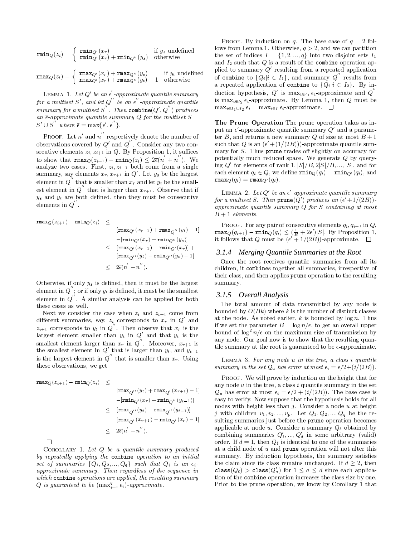$$
\begin{aligned}\n\texttt{rmin}_Q(z_i) &= \left\{ \begin{array}{ll} \texttt{rmin}_{Q'}(x_r) & \text{if } y_s \text{ undefined} \\
\texttt{rmin}_{Q'}(x_r) + \texttt{rmin}_{Q''}(y_s) & \text{otherwise}\n\end{array} \right. \\
\texttt{rmax}_Q(z_i) &= \left\{ \begin{array}{ll} \texttt{rmax}_{Q'}(x_r) + \texttt{rmax}_{Q''}(y_s) & \text{if } y_t \text{ undefined} \\
\texttt{rmax}_{Q'}(x_r) + \texttt{rmax}_{Q''}(y_t) - 1 & \text{otherwise}\n\end{array} \right.\n\end{aligned}
$$

LEMMA 1. Let Q' be an  $\epsilon'$ -approximate quantile summary for a multiset S', and let  $Q^{\prime\prime}$  be an  $\epsilon^{\prime\prime}$  -approximate quantile summary for a multiset S''. Then combine $(Q', Q'')$  produces<br>an  $\overline{\epsilon}$ -approximate quantile summary Q for the multiset S =  $S' \cup S''$  where  $\overline{\epsilon} = \max{\{\epsilon', \epsilon''\}}$ .

PROOF. Let  $n'$  and  $n''$  respectively denote the number of observations covered by  $Q'$  and  $Q''$ . Consider any two consecutive elements  $z_i, z_{i+1}$  in Q. By Proposition 1, it suffices to show that  $\max_Q(z_{i+1}) - \min_Q(z_i) \leq 2\overline{\epsilon}(n' + n'')$ . We analyze two cases. First,  $z_i, z_{i+1}$  both come from a single summary, say elements  $x_r, x_{r+1}$  in  $Q'$ . Let  $y_s$  be the largest element in  $Q''$  that is smaller than  $x_r$  and let  $y_t$  be the smallest element in  $Q''$  that is larger than  $x_{r+1}$ . Observe that if  $y_s$  and  $y_t$  are both defined, then they must be consecutive elements in  $Q''$ .

$$
\begin{array}{rl} \texttt{rmax}_Q(z_{i+1}) - \texttt{rmin}_Q(z_i) & \leq\\ &&\qquad [\texttt{rmax}_{Q'}(x_{r+1}) + \texttt{rmax}_{Q''}(y_t) - 1]\\ && -[\texttt{rmin}_{Q'}(x_r) + \texttt{rmin}_{Q''}(y_s)]\\ &&\leq& \left[\texttt{rmax}_{Q'}(x_{r+1}) - \texttt{rmin}_{Q'}(x_r)\right] +\\ &&\qquad [\texttt{rmax}_{Q''}(y_t) - \texttt{rmin}_{Q''}(y_s) - 1]\\ &&\leq& 2\overline{\epsilon}(n^{'} + n^{''}). \end{array}
$$

Otherwise, if only  $y_s$  is defined, then it must be the largest element in  $Q''$ ; or if only  $y_t$  is defined, it must be the smallest element in  $Q''$ . A similar analysis can be applied for both these cases as well.

Next we consider the case when  $z_i$  and  $z_{i+1}$  come from different summaries, say,  $z_i$  corresponds to  $x_r$  in  $Q'$  and  $z_{i+1}$  corresponds to  $y_t$  in  $Q''$ . Then observe that  $x_r$  is the largest element smaller than  $y_t$  in  $Q'$  and that  $y_t$  is the smallest element larger than  $x_r$  in  $Q''$ . Moreover,  $x_{r+1}$  is the smallest element in  $Q'$  that is larger than  $y_t$ , and  $y_{t-1}$ <br>is the largest element in  $Q'$  that is smaller than  $x_r$ . Using these observations, we get

$$
\begin{array}{rl} {\rm rmsx}_Q(z_{i+1})-{\rm rmin}_Q(z_i)&\leq\\ &&[{\rm rmsx}_{Q^{\prime\prime}}(y_t)+{\rm rmsx}_{Q^{\prime}}(x_{r+1})-1]\\ &&-[{\rm rmin}_{Q^{\prime}}(x_r)+{\rm rmin}_{Q^{\prime\prime}}(y_{t-1})]\\ &&\leq&[{\rm rmsx}_{Q^{\prime\prime}}(y_t)-{\rm {min}}_{Q^{\prime\prime}}(y_{t-1})]+\\ &&[{\rm {rmsx}}_{Q^{\prime}}(x_{r+1})-{\rm {min}}_{Q^{\prime}}(x_r)-1]\\ &&\leq& 2\overline{\epsilon}(n^{'}+n^{''}). \end{array}
$$

 $\Box$ 

COROLLARY 1. Let  $Q$  be a quantile summary produced by repeatedly applying the combine operation to an initial set of summaries  $\{Q_1, Q_2, ..., Q_q\}$  such that  $Q_i$  is an  $\epsilon_i$ . approximate summary. Then regardless of the sequence in which combine operations are applied, the resulting summary Q is guaranteed to be  $(\max_{i=1}^{q} \epsilon_i)$ -approximate.

PROOF. By induction on q. The base case of  $q = 2$  follows from Lemma 1. Otherwise,  $q > 2$ , and we can partition the set of indices  $I = \{1, 2, ..., q\}$  into two disjoint sets  $I_1$ and  $I_2$  such that  $Q$  is a result of the combine operation applied to summary  $Q'$  resulting from a repeated application of combine to  $\{Q_i | i \in I_1\}$ , and summary  $Q''$  results from a repeated application of combine to  $\{Q_i | i \in I_2\}$ . By induction hypothesis,  $Q'$  is  $\max_{i \in I_1} \epsilon_i$ -approximate and  $Q''$ is  $\max_{i \in I_2} \epsilon_i$ -approximate. By Lemma 1, then Q must be  $\max_{i \in I_1 \cup I_2} \epsilon_i = \max_{i \in I} \epsilon_i$ -approximate.  $\Box$ 

The Prune Operation The prune operation takes as input an  $\epsilon'$ -approximate quantile summary  $Q'$  and a parameter B, and returns a new summary Q of size at most  $B + 1$ such that Q is an  $(\epsilon' + (1/(2B)))$ -approximate quantile summary for  $S$ . Thus **prune** trades off slightly on accuracy for potentially much reduced space. We generate  $Q$  by querying Q' for elements of rank  $1, |S|/B, 2|S|/B, ..., |S|$ , and for each element  $q_i \in Q$ , we define  $\text{rmin}_Q(q_i) = \text{rmin}_{Q'}(q_i)$ , and  $\max_{Q}(q_i) = \max_{Q'}(q_i).$ 

LEMMA 2. Let Q' be an  $\epsilon'$ -approximate quantile summary for a multiset S. Then  $\texttt{prune}(Q')$  produces an  $(\epsilon'+1/(2B))$ approximate quantile summary  $Q$  for  $S$  containing at most  $B+1$  elements.

**PROOF.** For any pair of consecutive elements  $q_i, q_{i+1}$  in Q. rnax<sub>Q</sub>( $q_{i+1}$ ) – rnin<sub>Q</sub>( $q_i$ )  $\leq (\frac{1}{B} + 2\epsilon')|S|$ . By Proposition 1,<br>it follows that Q must be  $(\epsilon' + 1/(2B))$ -approximate.  $\square$ 

### 3.1.4 Merging Quantile Summaries at the Root

Once the root receives quantile summaries from all its children, it combines together all summaries, irrespective of their class, and then applies prune operation to the resulting summary.

### 3.1.5 Overall Analysis

The total amount of data transmitted by any node is bounded by  $O(Bk)$  where k is the number of distinct classes at the node. As noted earlier, k is bounded by  $\log n$ . Thus if we set the parameter  $B = \log n/\epsilon$ , to get an overall upper bound of  $\log^2 n/\epsilon$  on the maximum size of transmission by any node. Our goal now is to show that the resulting quantile summary at the root is guaranteed to be  $\epsilon$ -approximate.

LEMMA 3. For any node  $u$  in the tree, a class i quantile summary in the set  $Q_u$  has error at most  $\epsilon_i = \epsilon/2 + (i/(2B))$ .

PROOF. We will prove by induction on the height that for any node  $u$  in the tree, a class  $i$  quantile summary in the set  $\mathcal{Q}_u$  has error at most  $\epsilon_i = \epsilon/2 + (i/(2B))$ . The base case is easy to verify. Now suppose that the hypothesis holds for all nodes with height less than  $j$ . Consider a node  $u$  at height j with children  $v_1, v_2, ..., v_p$ . Let  $Q_1, Q_2, ..., Q_q$  be the resulting summaries just before the prune operation becomes applicable at node  $u$ . Consider a summary  $Q_{\ell}$  obtained by combining summaries  $Q'_1, ..., Q'_d$  in some arbitrary (valid) order. If  $d = 1$ , then  $Q_{\ell}$  is identical to one of the summaries at a child node of  $u$  and prune operation will not alter this summary. By induction hypothesis, the summary satisfies the claim since its class remains unchanged. If  $d \geq 2$ , then class( $Q_{\ell}$ ) > class( $Q_{a}$ ) for  $1 \leq a \leq d$  since each application of the combine operation increases the class size by one. Prior to the prune operation, we know by Corollary 1 that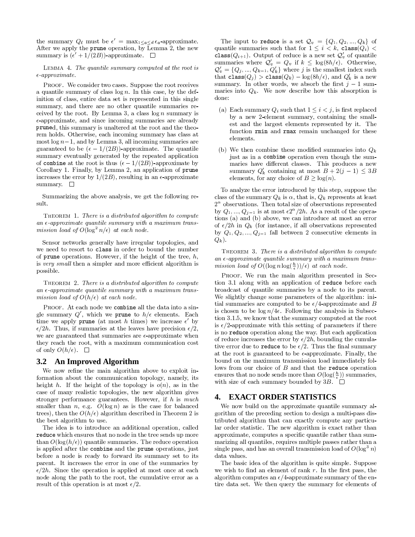the summary  $Q_{\ell}$  must be  $\epsilon' = \max_{1 \leq a \leq d} \epsilon_a$ -approximate. After we apply the prune operation, by Lemma 2, the new summary is  $(\epsilon' + 1/(2B))$ -approximate.  $\Box$ 

LEMMA 4. The quantile summary computed at the root is  $\epsilon$ -approximate.

PROOF. We consider two cases. Suppose the root receives a quantile summary of class  $\log n$ . In this case, by the definition of class, entire data set is represented in this single summary, and there are no other quantile summaries received by the root. By Lemma 3, a class  $\log n$  summary is  $\epsilon$ -approximate, and since incoming summaries are already pruned, this summary is unaltered at the root and the theorem holds. Otherwise, each incoming summary has class at most  $\log n - 1$ , and by Lemma 3, all incoming summaries are guaranteed to be  $(\epsilon - 1/(2B))$ -approximate. The quantile summary eventually generated by the repeated application of combine at the root is thus  $(\epsilon - 1/(2B))$ -approximate by Corollary 1. Finally, by Lemma 2, an application of prune increases the error by  $1/(2B)$ , resulting in an  $\epsilon$ -approximate summary.  $\square$ 

Summarizing the above analysis, we get the following result.

THEOREM 1. There is a distributed algorithm to compute an  $\epsilon$ -approximate quantile summary with a maximum transmission load of  $O(\log^2 n/\epsilon)$  at each node.

Sensor networks generally have irregular topologies, and we need to resort to class in order to bound the number of prune operations. However, if the height of the tree,  $h$ , is very small then a simpler and more efficient algorithm is possible.

THEOREM 2. There is a distributed algorithm to compute an  $\epsilon$ -approximate quantile summary with a maximum transmission load of  $O(h/\epsilon)$  at each node.

PROOF. At each node we combine all the data into a single summary  $Q'$ , which we prune to  $h/\epsilon$  elements. Each time we apply **prune** (at most h times) we increase  $\epsilon'$  by  $\epsilon/2h$ . Thus, if summaries at the leaves have precision  $\epsilon/2$ , we are guaranteed that summaries are  $\epsilon$ -approximate when they reach the root, with a maximum communication cost of only  $O(h/\epsilon)$ .  $\Box$ 

#### **An Improved Algorithm**  $3.2$

We now refine the main algorithm above to exploit information about the communication topology, namely, its height h. If the height of the topology is  $o(n)$ , as in the case of many realistic topologies, the new algorithm gives stronger performance guarantees. However, if  $h$  is much smaller than *n*, e.g.  $O(\log n)$  as is the case for balanced trees), then the  $O(h/\epsilon)$  algorithm described in Theorem 2 is the best algorithm to use.

The idea is to introduce an additional operation, called reduce which ensures that no node in the tree sends up more than  $O(\log(h/\epsilon))$  quantile summaries. The reduce operation is applied after the combine and the prune operations, just before a node is ready to forward its summary set to its parent. It increases the error in one of the summaries by  $\epsilon/2h$ . Since the operation is applied at most once at each node along the path to the root, the cumulative error as a result of this operation is at most  $\epsilon/2$ .

The input to reduce is a set  $\mathcal{Q}_v = \{Q_1, Q_2, ..., Q_k\}$  of quantile summaries such that for  $1 \leq i \leq k$ , class $(Q_i)$ class( $Q_{i+1}$ ). Output of reduce is a new set  $Q'_v$  of quantile summaries where  $Q'_v = Q_v$  if  $k \leq \log(8h/\epsilon)$ . Otherwise,  $\mathcal{Q}'_v = \{Q_j, ..., Q_{k-1}, Q'_k\}$  where j is the smallest index such that  $\texttt{class}(Q_j) > \texttt{class}(Q_k) - \log(8h/\epsilon)$ , and  $Q'_k$  is a new summary. In other words, we absorb the first  $j-1$  summaries into  $Q_k$ . We now describe how this absorption is done:

- (a) Each summary  $Q_i$  such that  $1 \leq i < j$ , is first replaced by a new 2-element summary, containing the smallest and the largest elements represented by it. The function rmin and rmax remain unchanged for these elements.
- (b) We then combine these modified summaries into  $Q_k$ just as in a combine operation even though the summaries have different classes. This produces a new summary  $Q'_k$  containing at most  $B + 2(j - 1) \leq 3B$ elements, for any choice of  $B \geq \log(n)$ .

To analyze the error introduced by this step, suppose the class of the summary  $Q_k$  is  $\alpha$ , that is,  $Q_k$  represents at least  $2^{\alpha}$  observations. Then total size of observations represented by  $Q_1, ..., Q_{j-1}$  is at most  $\epsilon 2^{\alpha}/2h$ . As a result of the operations (a) and (b) above, we can introduce at most an error of  $\epsilon/2h$  in  $Q_k$  (for instance, if all observations represented by  $Q_1, Q_2, ..., Q_{j-1}$  fall between 2 consecutive elements in  $Q_k$ ).

THEOREM 3. There is a distributed algorithm to compute an  $\epsilon$ -approximate quantile summary with a maximum transmission load of  $O((\log n \log(\frac{h}{\epsilon}))/\epsilon)$  at each node.

PROOF. We run the main algorithm presented in Section 3.1 along with an application of reduce before each broadcast of quantile summaries by a node to its parent. We slightly change some parameters of the algorithm: initial summaries are computed to be  $\epsilon/4$ -approximate and B is chosen to be  $\log n/4\epsilon$ . Following the analysis in Subsection 3.1.5, we know that the summary computed at the root is  $\epsilon/2$ -approximate with this setting of parameters if there is no reduce operation along the way. But each application of reduce increases the error by  $\epsilon/2h$ , bounding the cumulative error due to reduce to be  $\epsilon/2$ . Thus the final summary at the root is guaranteed to be  $\epsilon$ -approximate. Finally, the bound on the maximum transmission load immediately follows from our choice of  $B$  and that the reduce operation ensures that no node sends more than  $O(\log(\frac{h}{\epsilon}))$  summaries, with size of each summary bounded by  $3B$ .  $\square$ 

## **4. EXACT ORDER STATISTICS**

We now build on the approximate quantile summary algorithm of the preceding section to design a multi-pass distributed algorithm that can exactly compute any particular order statistic. The new algorithm is exact rather than approximate, computes a specific quantile rather than summarizing all quantiles, requires multiple passes rather than a single pass, and has an overall transmission load of  $O(\log^3 n)$ data values

The basic idea of the algorithm is quite simple. Suppose we wish to find an element of rank  $r$ . In the first pass, the algorithm computes an  $\epsilon/4$ -approximate summary of the entire data set. We then query the summary for elements of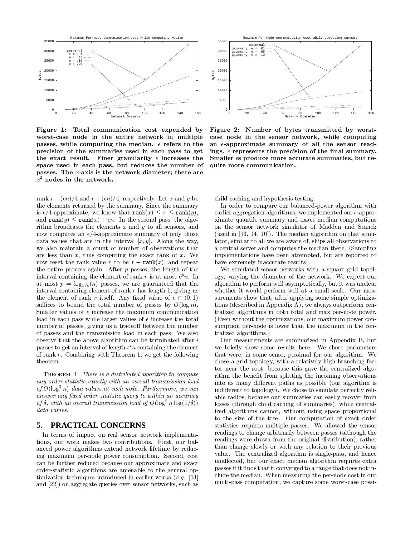

Figure 1: Total communication cost expended by worst-case node in the entire network in multiple passes, while computing the median.  $\epsilon$  refers to the precision of the summaries used in each pass to get the exact result. Finer granularity  $\epsilon$  increases the space used in each pass, but reduces the number of passes. The  $x$ -axis is the network diameter; there are  $x^2$  nodes in the network.

rank  $r - (\epsilon n)/4$  and  $r + (\epsilon n)/4$ , respectively. Let x and y be the elements returned by the summary. Since the summary is  $\epsilon/4$ -approximate, we know that  $\texttt{rank}(x) \leq r \leq \texttt{rank}(y)$ , and rank $(y) \leq$  rank $(x) + \epsilon n$ . In the second pass, the algorithm broadcasts the elements  $x$  and  $y$  to all sensors, and now computes an  $\epsilon/4$ -approximate summary of only those data values that are in the interval  $[x, y]$ . Along the way, we also maintain a count of number of observations that are less than  $x$ , thus computing the exact rank of  $x$ . We now reset the rank value r to be  $r - \text{rank}(x)$ , and repeat the entire process again. After  $p$  passes, the length of the interval containing the element of rank r is at most  $\epsilon^p n$ . In at most  $p = \log_{1/\epsilon}(n)$  passes, we are guaranteed that the interval containing element of rank  $r$  has length 1, giving us the element of rank r itself. Any fixed value of  $\epsilon \in (0,1)$ suffices to bound the total number of passes by  $O(\log n)$ . Smaller values of  $\epsilon$  increase the maximum communication load in each pass while larger values of  $\epsilon$  increase the total number of passes, giving us a tradeoff between the number of passes and the transmission load in each pass. We also observe that the above algorithm can be terminated after  $i$ passes to get an interval of length  $\epsilon^{i}n$  containing the element of rank  $r$ . Combining with Theorem 1, we get the following theorem.

THEOREM 4. There is a distributed algorithm to compute any order statistic exactly with an overall transmission load of  $O(\log^3 n)$  data values at each node. Furthermore, we can answer any fixed order-statistic query to within an accuracy of  $\delta$ , with an overall transmission load of  $O(\log^2 n \log(1/\delta))$ data values.

#### **PRACTICAL CONCERNS** 5.

In terms of impact on real sensor network implementations, our work makes two contributions. First, our balanced power algorithms extend network lifetime by reducing maximum per-node power consumption. Second, cost can be further reduced because our approximate and exact order-statistic algorithms are amenable to the general optimization techniques introduced in earlier works  $(e, q, \; [13])$ and [22]) on aggregate queries over sensor networks, such as



Figure 2: Number of bytes transmitted by worstcase node in the sensor network, while computing an  $\epsilon$ -approximate summary of all the sensor readings.  $\epsilon$  represents the precision of the final summary. Smaller  $\epsilon$ s produce more accurate summaries, but require more communication.

child caching and hypothesis testing.

In order to compare our balanced-power algorithm with earlier aggregation algorithms, we implemented our  $\epsilon$ -approximate quantile summary and exact median computations on the sensor network simulator of Madden and Stanek (used in [13, 14, 10]). The median algorithm on that simulator, similar to all we are aware of, ships all observations to a central server and computes the median there. (Sampling implementations have been attempted, but are reported to have extremely inaccurate results).

We simulated sensor networks with a square grid topology, varying the diameter of the network. We expect our algorithm to perform well asymptotically, but it was unclear whether it would perform well at a small scale. Our measurements show that, after applying some simple optimizations (described in Appendix A), we always outperform centralized algorithms in both total and max per-node power. (Even without the optimizations, our maximum power consumption per-node is lower than the maximum in the centralized algorithms.)

Our measurements are summarized in Appendix B, but we briefly show some results here. We chose parameters that were, in some sense, pessimal for our algorithm. We chose a grid topology, with a relatively high branching factor near the root, because this gave the centralized algorithm the benefit from splitting the incoming observations into as many different paths as possible (our algorithm is indifferent to topology). We chose to simulate perfectly reliable radios, because our summaries can easily recover from losses (through child caching of summaries), while centralized algorithms cannot, without using space proportional to the size of the tree. Our computation of exact order statistics requires multiple passes. We allowed the sensor readings to change arbitrarily between passes (although the readings were drawn from the original distribution), rather than change slowly or with any relation to their previous value. The centralized algorithm is single-pass, and hence unaffected, but our exact median algorithm requires extra passes if it finds that it converged to a range that does not include the median. When measuring the per-node cost in our multi-pass computation, we capture some worst-case possi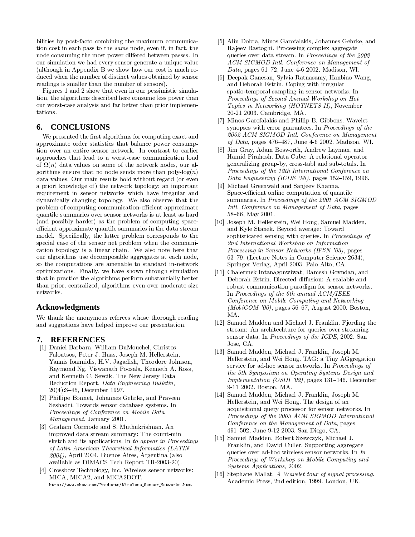bilities by post-facto combining the maximum communication cost in each pass to the *same* node, even if, in fact, the node consuming the most power differed between passes. In our simulation we had every sensor generate a unique value (although in Appendix B we show how our cost is much reduced when the number of distinct values obtained by sensor readings is smaller than the number of sensors).

Figures 1 and 2 show that even in our pessimistic simulation, the algorithms described here consume less power than our worst-case analysis and far better than prior implementations.

### **CONCLUSIONS** 6.

We presented the first algorithms for computing exact and approximate order statistics that balance power consumption over an entire sensor network. In contrast to earlier approaches that lead to a worst-case communication load of  $\Omega(n)$  data values on some of the network nodes, our algorithms ensure that no node sends more than  $\text{poly-log}(n)$ data values. Our main results hold without regard (or even a priori knowledge of) the network topology; an important requirement in sensor networks which have irregular and dynamically changing topology. We also observe that the problem of computing communication-efficient approximate quantile summaries over sensor networks is at least as hard (and possibly harder) as the problem of computing spaceefficient approximate quantile summaries in the data stream model. Specifically, the latter problem corresponds to the special case of the sensor net problem when the communication topology is a linear chain. We also note here that our algorithms use decomposable aggregates at each node, so the computations are amenable to standard in-network optimizations. Finally, we have shown through simulation that in practice the algorithms perform substantially better than prior, centralized, algorithms even over moderate size networks.

### **Acknowledgments**

We thank the anonymous referees whose thorough reading and suggestions have helped improve our presentation.

#### **REFERENCES** 7.

- [1] Daniel Barbara, William DuMouchel, Christos Faloutsos, Peter J. Haas, Joseph M. Hellerstein, Yannis Ioannidis, H.V. Jagadish, Theodore Johnson, Raymond Ng, Viswanath Poosala, Kenneth A. Ross, and Kenneth C. Sevcik. The New Jersey Data Reduction Report. Data Engineering Bulletin,  $20(4):3-45$ , December 1997.
- [2] Phillipe Bonnet, Johannes Gehrke, and Praveen Seshadri. Towards sensor database systems. In Proceedings of Conference on Mobile Data Management, January 2001.
- [3] Graham Cormode and S. Muthukrishnan. An improved data stream summary: The count-min sketch and its applications. In to appear in Proceedings of Latin American Theoretical Informatics (LATIN  $2004$ ), April 2004. Buenos Aires, Argentina (also available as DIMACS Tech Report TR-2003-20).
- [4] Crossbow Technology, Inc. Wireless sensor networks: MICA, MICA2, and MICA2DOT.

http://www.xbow.com/Products/Wireless\_Sensor\_Networks.htm.

- [5] Alin Dobra, Minos Garofalakis, Johannes Gehrke, and Rajeev Rastoghi. Processing complex aggregate queries over data stream. In Proceedings of the 2002 ACM SIGMOD Intl. Conference on Management of *Data*, pages 61–72, June 4-6 2002. Madison, WI.
- [6] Deepak Ganesan, Sylvia Ratnasamy, Hanbiao Wang, and Deborah Estrin. Coping with irregular spatio-temporal sampling in sensor networks. In Proceedings of Second Annual Workshop on Hot Topics in Networking (HOTNETS-II), November 20-21 2003. Cambridge, MA.
- [7] Minos Garofalakis and Phillip B. Gibbons. Wavelet synopses with error guarantees. In Proceedings of the 2002 ACM SIGMOD Intl. Conference on Management  $of$   $Data,$  pages 476–487, June 4-6 2002. Madison, WI.
- [8] Jim Gray, Adam Bosworth, Andrew Layman, and Hamid Pirahesh. Data Cube: A relational operator generalizing group-by, cross-tabl and sub-totals. In Proceedings of the 12th International Conference on Data Engineering (ICDE '96), pages 152-159, 1996.
- [9] Michael Greenwald and Sanjeev Khanna. Space-efficient online computation of quantile summaries. In Proceedings of the 2001 ACM SIGMOD Intl. Conference on Management of Data, pages  $58-66$ , May 2001.
- [10] Joseph M. Hellerstein, Wei Hong, Samuel Madden, and Kyle Stanek. Beyond average: Toward sophisticated sensing with queries. In Proceedings of 2nd International Workshop on Information *Processing in Sensor Networks (IPSN '03)*, pages 63-79. (Lecture Notes in Computer Science 2634), Springer Verlag, April 2003. Palo Alto, CA.
- [11] Chalermek Intanagonwiwat, Ramesh Govndan, and Deborah Estrin. Directed diffusion: A scalable and robust communication paradigm for sensor networks. In Proceedings of the 6th annual ACM/IEEE Conference on Mobile Computing and Networking  $(MobiCOM$  '00), pages 56–67, August 2000. Boston, MA.
- [12] Samuel Madden and Michael J. Franklin. Fjording the stream: An architechture for queries over streaming sensor data. In Proceedings of the ICDE, 2002. San Jose, CA.
- [13] Samuel Madden, Michael J. Franklin, Joseph M. Hellerstein, and Wei Hong. TAG: a Tiny AGgregation service for ad-hoc sensor networks. In Proceedings of the 5th Symposium on Operating Systems Design and Implementation (OSDI '02), pages 131-146, December 9-11 2002. Boston, MA.
- [14] Samuel Madden, Michael J. Franklin, Joseph M. Hellerstein, and Wei Hong. The design of an acquisitional query processor for sensor networks. In Proceedings of the 2003 ACM SIGMOD International Conference on the Management of Data, pages 491-502, June 9-12 2003. San Diego, CA.
- [15] Samuel Madden, Robert Szewczyk, Michael J. Franklin, and David Culler. Supporting aggregate queries over ad-hoc wireless sensor networks. In  $In$ Proceedings of Workshop on Mobile Computing and Systems Applications, 2002.
- [16] Stephane Mallat. A Wavelet tour of signal processing. Academic Press, 2nd edition, 1999. London, UK.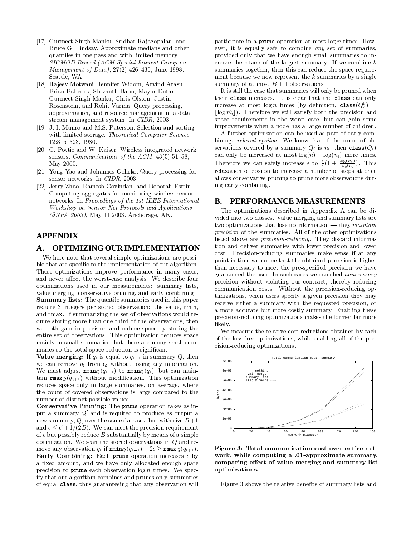- [17] Gurmeet Singh Manku, Sridhar Rajagopalan, and Bruce G. Lindsay. Approximate medians and other quantiles in one pass and with limited memory. SIGMOD Record (ACM Special Interest Group on Management of Data),  $27(2):426-435$ , June 1998. Seattle, WA
- [18] Rajeev Motwani, Jennifer Widom, Arvind Arasu, Brian Babcock, Shivnath Babu, Mayur Datar, Gurmeet Singh Manku, Chris Olston, Justin Rosenstein, and Rohit Varma. Query processing, approximation, and resource management in a data stream management system. In CIDR, 2003.
- [19] J. I. Munro and M.S. Paterson. Selection and sorting with limited storage. Theoretical Computer Science,  $12:315 - 323, 1980.$
- [20] G. Pottie and W. Kaiser. Wireless integrated network sensors. Communications of the ACM,  $43(5):51-58$ , May 2000.
- [21] Yong Yao and Johannes Gehrke. Query processing for sensor networks. In CIDR, 2003.
- [22] Jerry Zhao, Ramesh Govindan, and Deborah Estrin. Computing aggregates for monitoring wireless sensor networks. In Proceedinas of the 1st IEEE International Workshop on Sensor Net Protocols and Applications  $(SNPA 2003)$ , May 11 2003. Anchorage, AK.

## **APPENDIX**

#### **OPTIMIZING OUR IMPLEMENTATION** A.

We here note that several simple optimizations are possible that are specific to the implementation of our algorithm. These optimizations improve performance in many cases, and never affect the worst-case analysis. We describe four optimizations used in our measurements: summary lists, value merging, conservative pruning, and early combining. **Summary lists:** The quantile summaries used in this paper require 3 integers per stored observation: the value, rmin, and rmax. If summarizing the set of observations would require storing more than one third of the observations, then we both gain in precision and reduce space by storing the entire set of observations. This optimization reduces space mainly in small summaries, but there are many small summaries so the total space reduction is significant.

**Value merging:** If  $q_i$  is equal to  $q_{i+1}$  in summary Q, then we can remove  $q_i$  from  $Q$  without losing any information. We must adjust  $\texttt{rmin}_{Q}(q_{i+1})$  to  $\texttt{rmin}_{Q}(q_{i})$ , but can maintain  $\text{max}_{Q}(q_{i+1})$  without modification. This optimization reduces space only in large summaries, on average, where the count of covered observations is large compared to the number of distinct possible values.

Conservative Pruning: The prune operation takes as input a summary  $Q'$  and is required to produce as output a new summary, Q, over the same data set, but with size  $B+1$ and  $\epsilon \leq \epsilon' + 1/(2B)$ . We can meet the precision requirement of  $\epsilon$  but possibly reduce B substantially by means of a simple optimization. We scan the stored observations in  $Q$  and remove any observation  $q_i$  if  $\text{rmin}_O(q_{i-1}) + 2\epsilon > \text{rmax}_O(q_{i+1}).$ Early Combining: Each prune operation increases  $\epsilon$  by a fixed amount, and we have only allocated enough spare precision to **prune** each observation  $\log n$  times. We specify that our algorithm combines and prunes only summaries of equal class, thus guaranteeing that any observation will participate in a **prune** operation at most  $\log n$  times. However, it is equally safe to combine *any* set of summaries, provided only that we have enough small summaries to increase the class of the largest summary. If we combine  $k$ summaries together, then this can reduce the space requirement because we now represent the  $k$  summaries by a single summary of at most  $B+1$  observations.

It is still the case that summaries will only be pruned when their class increases. It is clear that the class can only increase at most  $\log n$  times (by definition, class  $(Q_v^i)$  =  $|\log n_v^{i}|$ ). Therefore we still satisfy both the precision and space requirements in the worst case, but can gain some improvements when a node has a large number of children.

A further optimization can be used as part of early combining: relaxed epsilon. We know that if the count of observations covered by a summary  $Q_i$  is  $n_i$ , then class  $(Q_i)$ can only be increased at most  $log(n) - log(n_i)$  more times. Therefore we can safely increase  $\epsilon$  to  $\frac{\epsilon}{2}(1+\frac{\log(n_i)}{\log(n)})$ . This relaxation of epsilon to increase a number of steps at once allows conservative pruning to prune more observations during early combining.

#### PERFORMANCE MEASUREMENTS **B.**

The optimizations described in Appendix A can be divided into two classes. Value merging and summary lists are two optimizations that lose no information — they *maintain precision* of the summaries. All of the other optimizations listed above are *precision-reducing*. They discard information and deliver summaries with lower precision and lower cost. Precision-reducing summaries make sense if at any point in time we notice that the obtained precision is higher than necessary to meet the pre-specified precision we have guaranteed the user. In such cases we can shed unnecessary precision without violating our contract, thereby reducing communication costs. Without the precision-reducing optimizations, when users specify a given precision they may receive either a summary with the requested precision, or a more accurate but more costly summary. Enabling these precision-reducing optimizations makes the former far more likely.

We measure the relative cost reductions obtained by each of the loss-free optimizations, while enabling all of the precision-reducing optimizations.



Figure 3: Total communication cost over entire network, while computing a .01-approximate summary, comparing effect of value merging and summary list optimizations.

Figure 3 shows the relative benefits of summary lists and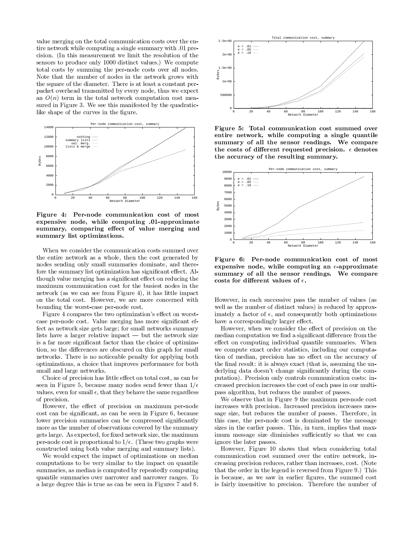value merging on the total communication costs over the entire network while computing a single summary with 01 precision. (In this measurement we limit the resolution of the sensors to produce only 1000 distinct values.) We compute total costs by summing the per-node costs over all nodes. Note that the number of nodes in the network grows with the square of the diameter. There is at least a constant perpacket overhead transmitted by every node, thus we expect an  $O(n)$  term in the total network computation cost measured in Figure 3. We see this manifested by the quadraticlike shape of the curves in the figure.



Figure 4: Per-node communication cost of most expensive node, while computing .01-approximate summary, comparing effect of value merging and summary list optimizations.

When we consider the communication costs summed over the entire network as a whole, then the cost generated by nodes sending only small summaries dominate, and therefore the summary list optimization has significant effect. Although value merging has a significant effect on reducing the maximum communication cost for the busiest nodes in the network (as we can see from Figure 4), it has little impact on the total cost. However, we are more concerned with bounding the worst-case per-node cost.

Figure 4 compares the two optimization's effect on worstcase per-node cost. Value merging has more significant effect as network size gets large; for small networks summary lists have a larger relative impact  $-$  but the network size is a far more significant factor than the choice of optimization, so the differences are obscured on this graph for small networks. There is no noticeable penalty for applying both optimizations, a choice that improves performance for both small and large networks.

Choice of precision has little effect on total cost, as can be seen in Figure 5, because many nodes send fewer than  $1/\epsilon$ values, even for small  $\epsilon$ , that they behave the same regardless of precision.

However, the effect of precision on maximum per-node cost can be significant, as can be seen in Figure 6, because lower precision summaries can be compressed significantly more as the number of observations covered by the summary gets large. As expected, for fixed network size, the maximum per-node cost is proportional to  $1/\epsilon$ . (These two graphs were constructed using both value merging and summary lists).

We would expect the impact of optimizations on median computations to be very similar to the impact on quantile summaries, as median is computed by repeatedly computing quantile summaries over narrower and narrower ranges. To a large degree this is true as can be seen in Figures 7 and 8.



Figure 5: Total communication cost summed over entire network, while computing a single quantile summary of all the sensor readings. We compare the costs of different requested precision.  $\epsilon$  denotes the accuracy of the resulting summary.



Figure 6: Per-node communication cost of most expensive node, while computing an  $\epsilon$ -approximate summary of all the sensor readings. We compare costs for different values of  $\epsilon$ .

However, in each successive pass the number of values (as well as the number of distinct values) is reduced by approximately a factor of  $\epsilon$ , and consequently both optimizations have a correspondingly larger effect.

However, when we consider the effect of precision on the median computation we find a significant difference from the effect on computing individual quantile summaries. When we compute exact order statistics, including our computation of median, precision has no effect on the accuracy of the final result: it is always exact (that is, assuming the underlying data doesn't change significantly during the computation). Precision only controls communication costs: increased precision increases the cost of each pass in our multipass algorithm, but reduces the number of passes.

We observe that in Figure 9 the maximum per-node cost increases with precision. Increased precision increases message size, but reduces the number of passes. Therefore, in this case, the per-node cost is dominated by the message sizes in the earlier passes. This, in turn, implies that maximum message size diminishes sufficiently so that we can ignore the later passes.

However, Figure 10 shows that when considering total communication cost summed over the entire network, increasing precision reduces, rather than increases, cost. (Note that the order in the legend is reversed from Figure 9.) This is because, as we saw in earlier figures, the summed cost is fairly insensitive to precision. Therefore the number of